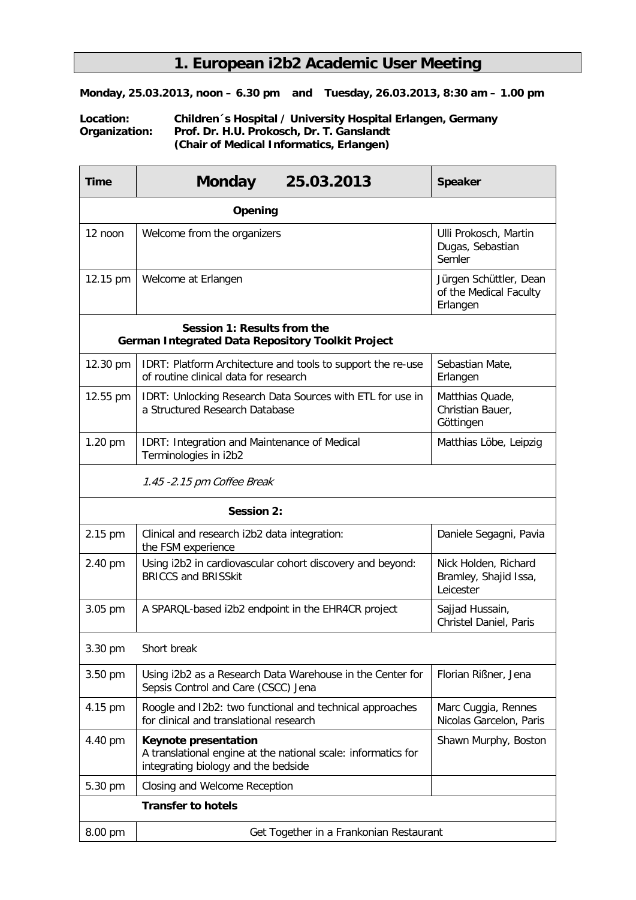## **1. European i2b2 Academic User Meeting**

**Monday, 25.03.2013, noon – 6.30 pm and Tuesday, 26.03.2013, 8:30 am – 1.00 pm**

## **Location: Children´s Hospital / University Hospital Erlangen, Germany Organization: Prof. Dr. H.U. Prokosch, Dr. T. Ganslandt (Chair of Medical Informatics, Erlangen)**

| <b>Time</b>                                                                             | <b>Monday</b><br>25.03.2013                                                                                                         | <b>Speaker</b>                                               |  |  |  |  |
|-----------------------------------------------------------------------------------------|-------------------------------------------------------------------------------------------------------------------------------------|--------------------------------------------------------------|--|--|--|--|
| Opening                                                                                 |                                                                                                                                     |                                                              |  |  |  |  |
| $12$ noon                                                                               | Welcome from the organizers                                                                                                         | Ulli Prokosch, Martin<br>Dugas, Sebastian<br>Semler          |  |  |  |  |
| 12.15 pm                                                                                | Welcome at Erlangen                                                                                                                 | Jürgen Schüttler, Dean<br>of the Medical Faculty<br>Erlangen |  |  |  |  |
| Session 1: Results from the<br><b>German Integrated Data Repository Toolkit Project</b> |                                                                                                                                     |                                                              |  |  |  |  |
| 12.30 pm                                                                                | IDRT: Platform Architecture and tools to support the re-use<br>of routine clinical data for research                                | Sebastian Mate,<br>Erlangen                                  |  |  |  |  |
| 12.55 pm                                                                                | IDRT: Unlocking Research Data Sources with ETL for use in<br>a Structured Research Database                                         | Matthias Quade,<br>Christian Bauer,<br>Göttingen             |  |  |  |  |
| 1.20 pm                                                                                 | IDRT: Integration and Maintenance of Medical<br>Terminologies in i2b2                                                               | Matthias Löbe, Leipzig                                       |  |  |  |  |
| 1.45 -2.15 pm Coffee Break                                                              |                                                                                                                                     |                                                              |  |  |  |  |
| <b>Session 2:</b>                                                                       |                                                                                                                                     |                                                              |  |  |  |  |
| 2.15 pm                                                                                 | Clinical and research i2b2 data integration:<br>the FSM experience                                                                  | Daniele Segagni, Pavia                                       |  |  |  |  |
| 2.40 pm                                                                                 | Using i2b2 in cardiovascular cohort discovery and beyond:<br><b>BRICCS and BRISSkit</b>                                             | Nick Holden, Richard<br>Bramley, Shajid Issa,<br>Leicester   |  |  |  |  |
| 3.05 pm                                                                                 | A SPARQL-based i2b2 endpoint in the EHR4CR project                                                                                  | Sajjad Hussain,<br>Christel Daniel, Paris                    |  |  |  |  |
| 3.30 pm                                                                                 | Short break                                                                                                                         |                                                              |  |  |  |  |
| 3.50 pm                                                                                 | Using i2b2 as a Research Data Warehouse in the Center for<br>Sepsis Control and Care (CSCC) Jena                                    | Florian Rißner, Jena                                         |  |  |  |  |
| 4.15 pm                                                                                 | Roogle and I2b2: two functional and technical approaches<br>for clinical and translational research                                 | Marc Cuggia, Rennes<br>Nicolas Garcelon, Paris               |  |  |  |  |
| 4.40 pm                                                                                 | <b>Keynote presentation</b><br>A translational engine at the national scale: informatics for<br>integrating biology and the bedside | Shawn Murphy, Boston                                         |  |  |  |  |
| 5.30 pm                                                                                 | Closing and Welcome Reception                                                                                                       |                                                              |  |  |  |  |
| <b>Transfer to hotels</b>                                                               |                                                                                                                                     |                                                              |  |  |  |  |
| 8.00 pm                                                                                 | Get Together in a Frankonian Restaurant                                                                                             |                                                              |  |  |  |  |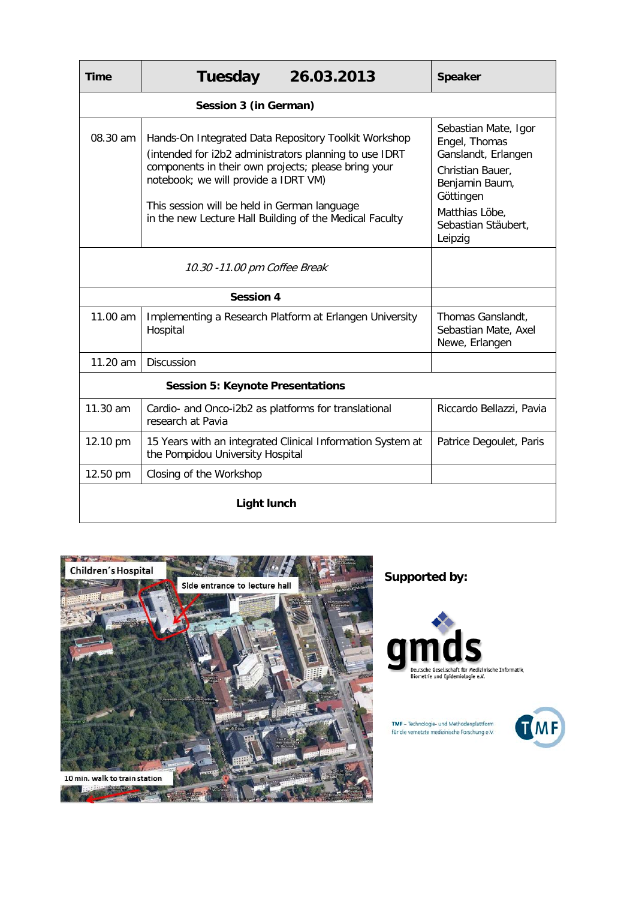| <b>Time</b>                             | <b>Tuesday</b>                                                                                                                                                                                                                                                                                                           | 26.03.2013                                                                                                                                                          | <b>Speaker</b>           |  |  |  |
|-----------------------------------------|--------------------------------------------------------------------------------------------------------------------------------------------------------------------------------------------------------------------------------------------------------------------------------------------------------------------------|---------------------------------------------------------------------------------------------------------------------------------------------------------------------|--------------------------|--|--|--|
| Session 3 (in German)                   |                                                                                                                                                                                                                                                                                                                          |                                                                                                                                                                     |                          |  |  |  |
| 08.30 am                                | Hands-On Integrated Data Repository Toolkit Workshop<br>(intended for i2b2 administrators planning to use IDRT<br>components in their own projects; please bring your<br>notebook; we will provide a IDRT VM)<br>This session will be held in German language<br>in the new Lecture Hall Building of the Medical Faculty | Sebastian Mate, Igor<br>Engel, Thomas<br>Ganslandt, Erlangen<br>Christian Bauer.<br>Benjamin Baum,<br>Göttingen<br>Matthias Löbe,<br>Sebastian Stäubert,<br>Leipzig |                          |  |  |  |
|                                         |                                                                                                                                                                                                                                                                                                                          |                                                                                                                                                                     |                          |  |  |  |
|                                         |                                                                                                                                                                                                                                                                                                                          |                                                                                                                                                                     |                          |  |  |  |
| 11.00 am                                | Implementing a Research Platform at Erlangen University<br>Hospital                                                                                                                                                                                                                                                      | Thomas Ganslandt,<br>Sebastian Mate, Axel<br>Newe, Erlangen                                                                                                         |                          |  |  |  |
| 11.20 am                                | <b>Discussion</b>                                                                                                                                                                                                                                                                                                        |                                                                                                                                                                     |                          |  |  |  |
| <b>Session 5: Keynote Presentations</b> |                                                                                                                                                                                                                                                                                                                          |                                                                                                                                                                     |                          |  |  |  |
| 11.30 am                                | Cardio- and Onco-i2b2 as platforms for translational<br>research at Pavia                                                                                                                                                                                                                                                |                                                                                                                                                                     | Riccardo Bellazzi, Pavia |  |  |  |
| 12.10 pm                                | 15 Years with an integrated Clinical Information System at<br>the Pompidou University Hospital                                                                                                                                                                                                                           |                                                                                                                                                                     | Patrice Degoulet, Paris  |  |  |  |
| 12.50 pm                                | Closing of the Workshop                                                                                                                                                                                                                                                                                                  |                                                                                                                                                                     |                          |  |  |  |
| <b>Light lunch</b>                      |                                                                                                                                                                                                                                                                                                                          |                                                                                                                                                                     |                          |  |  |  |



**Supported by:**



TMF - Technologie- und Methodenplattform<br>für die vernetzte medizinische Forschung e.V.

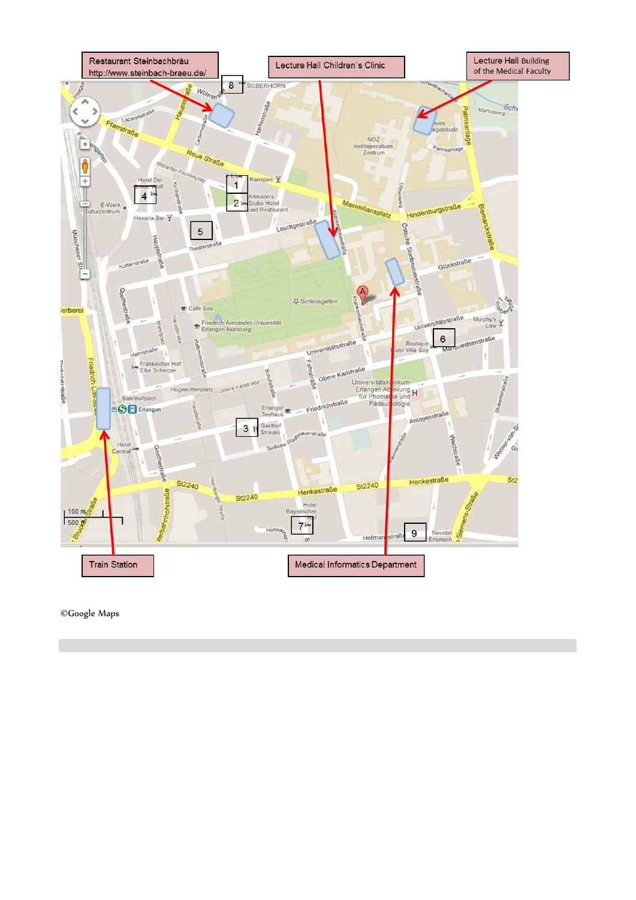

©Google Maps